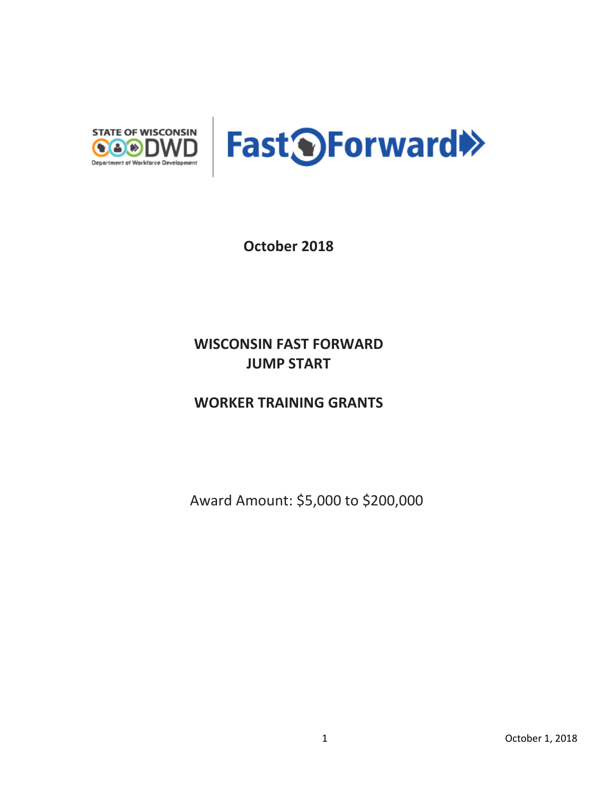

**October 2018**

## **WISCONSIN FAST FORWARD JUMP START**

**WORKER TRAINING GRANTS** 

Award Amount: \$5,000 to \$200,000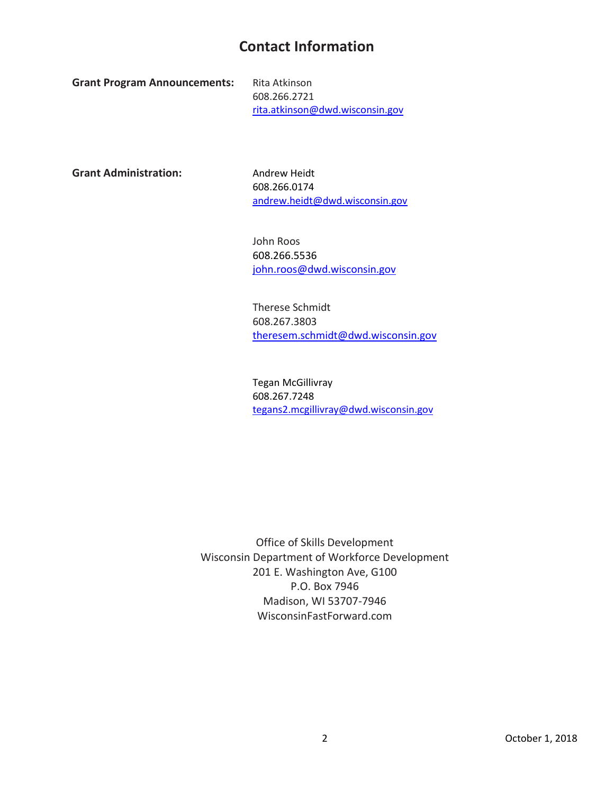## **Contact Information**

**Grant Program Announcements:** Rita Atkinson

608.266.2721 rita.atkinson@dwd.wisconsin.gov

Grant Administration: Andrew Heidt

608.266.0174 [andrew.heidt@dwd.wisconsin.gov](mailto:andrew.heidt@dwd.wisconsin.gov) 

John Roos 608.266.5536 [john.roos@dwd.wisconsin.gov](mailto:john.roos@dwd.wisconsin.gov)

Therese Schmidt 608.267.3803 [theresem.schmidt@dwd.wisconsin.gov](mailto:theresem.schmidt@dwd.wisconsin.gov) 

Tegan McGillivray 608.267.7248 [tegans2.mcgillivray@dwd.wisconsin.gov](mailto:tegans2.mcgillivray@dwd.wisconsin.gov)

Office of Skills Development Wisconsin Department of Workforce Development 201 E. Washington Ave, G100 P.O. Box 7946 Madison, WI 53707-7946 WisconsinFastForward.com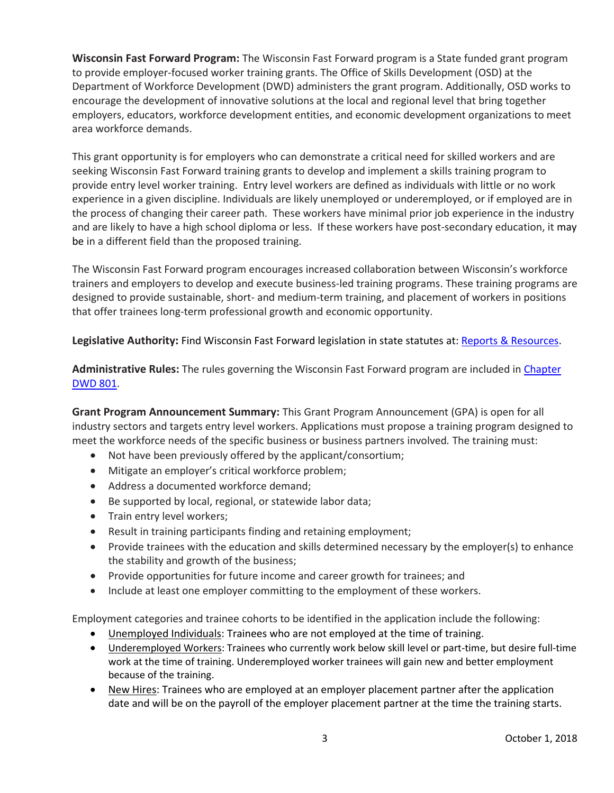**Wisconsin Fast Forward Program:** The Wisconsin Fast Forward program is a State funded grant program to provide employer-focused worker training grants. The Office of Skills Development (OSD) at the Department of Workforce Development (DWD) administers the grant program. Additionally, OSD works to encourage the development of innovative solutions at the local and regional level that bring together employers, educators, workforce development entities, and economic development organizations to meet area workforce demands.

This grant opportunity is for employers who can demonstrate a critical need for skilled workers and are seeking Wisconsin Fast Forward training grants to develop and implement a skills training program to provide entry level worker training. Entry level workers are defined as individuals with little or no work experience in a given discipline. Individuals are likely unemployed or underemployed, or if employed are in the process of changing their career path. These workers have minimal prior job experience in the industry and are likely to have a high school diploma or less. If these workers have post-secondary education, it may be in a different field than the proposed training.

The Wisconsin Fast Forward program encourages increased collaboration between Wisconsin's workforce trainers and employers to develop and execute business-led training programs. These training programs are designed to provide sustainable, short- and medium-term training, and placement of workers in positions that offer trainees long-term professional growth and economic opportunity.

**Legislative Authority:** Find Wisconsin Fast Forward legislation in state statutes at: [Reports & Resources.](http://www.wisconsinfastforward.com/reports.htm)

**Administrative Rules:** The rules governing the Wisconsin Fast Forward program are included i[n Chapter](http://docs.legis.wisconsin.gov/code/admin_code/dwd/801/801)  [DWD 801.](http://docs.legis.wisconsin.gov/code/admin_code/dwd/801/801)

**Grant Program Announcement Summary:** This Grant Program Announcement (GPA) is open for all industry sectors and targets entry level workers. Applications must propose a training program designed to meet the workforce needs of the specific business or business partners involved*.* The training must:

- Not have been previously offered by the applicant/consortium;
- Mitigate an employer's critical workforce problem;
- Address a documented workforce demand;
- Be supported by local, regional, or statewide labor data;
- Train entry level workers;
- Result in training participants finding and retaining employment;
- Provide trainees with the education and skills determined necessary by the employer(s) to enhance the stability and growth of the business;
- Provide opportunities for future income and career growth for trainees; and
- Include at least one employer committing to the employment of these workers.

Employment categories and trainee cohorts to be identified in the application include the following:

- Unemployed Individuals: Trainees who are not employed at the time of training.
- Underemployed Workers: Trainees who currently work below skill level or part-time, but desire full-time work at the time of training. Underemployed worker trainees will gain new and better employment because of the training.
- New Hires: Trainees who are employed at an employer placement partner after the application date and will be on the payroll of the employer placement partner at the time the training starts.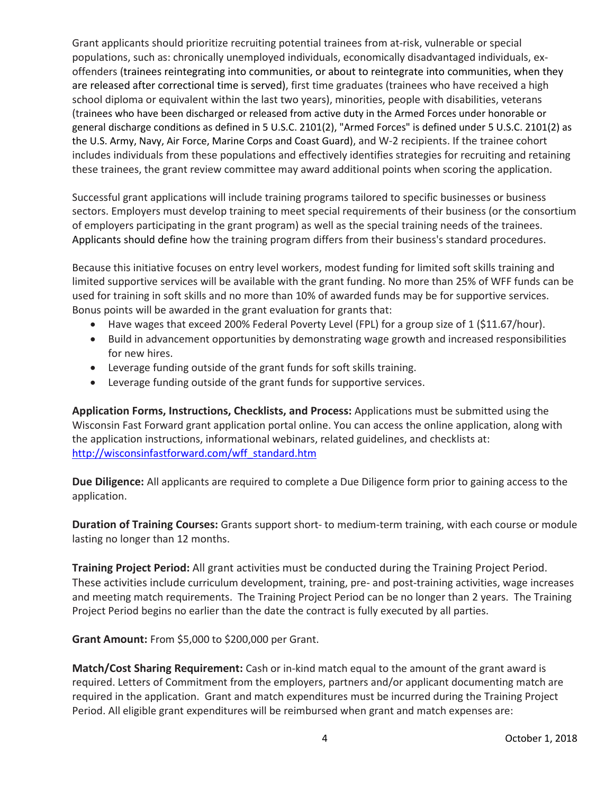Grant applicants should prioritize recruiting potential trainees from at-risk, vulnerable or special populations, such as: chronically unemployed individuals, economically disadvantaged individuals, exoffenders (trainees reintegrating into communities, or about to reintegrate into communities, when they are released after correctional time is served), first time graduates (trainees who have received a high school diploma or equivalent within the last two years), minorities, people with disabilities, veterans (trainees who have been discharged or released from active duty in the Armed Forces under honorable or general discharge conditions as defined in 5 U.S.C. 2101(2), "Armed Forces" is defined under 5 U.S.C. 2101(2) as the U.S. Army, Navy, Air Force, Marine Corps and Coast Guard), and W-2 recipients. If the trainee cohort includes individuals from these populations and effectively identifies strategies for recruiting and retaining these trainees, the grant review committee may award additional points when scoring the application.

Successful grant applications will include training programs tailored to specific businesses or business sectors. Employers must develop training to meet special requirements of their business (or the consortium of employers participating in the grant program) as well as the special training needs of the trainees. Applicants should define how the training program differs from their business's standard procedures.

Because this initiative focuses on entry level workers, modest funding for limited soft skills training and limited supportive services will be available with the grant funding. No more than 25% of WFF funds can be used for training in soft skills and no more than 10% of awarded funds may be for supportive services. Bonus points will be awarded in the grant evaluation for grants that:

- Have wages that exceed 200% Federal Poverty Level (FPL) for a group size of 1 (\$11.67/hour).
- Build in advancement opportunities by demonstrating wage growth and increased responsibilities for new hires.
- Leverage funding outside of the grant funds for soft skills training.
- Leverage funding outside of the grant funds for supportive services.

**Application Forms, Instructions, Checklists, and Process:** Applications must be submitted using the Wisconsin Fast Forward grant application portal online. You can access the online application, along with the application instructions, informational webinars, related guidelines, and checklists at: [http://wisconsinfastforward.com/wff\\_standard.htm](http://wisconsinfastforward.com/wff_standard.htm)

**Due Diligence:** All applicants are required to complete a Due Diligence form prior to gaining access to the application.

**Duration of Training Courses:** Grants support short- to medium-term training, with each course or module lasting no longer than 12 months.

**Training Project Period:** All grant activities must be conducted during the Training Project Period. These activities include curriculum development, training, pre- and post-training activities, wage increases and meeting match requirements. The Training Project Period can be no longer than 2 years. The Training Project Period begins no earlier than the date the contract is fully executed by all parties.

**Grant Amount:** From \$5,000 to \$200,000 per Grant.

**Match/Cost Sharing Requirement:** Cash or in-kind match equal to the amount of the grant award is required. Letters of Commitment from the employers, partners and/or applicant documenting match are required in the application. Grant and match expenditures must be incurred during the Training Project Period. All eligible grant expenditures will be reimbursed when grant and match expenses are: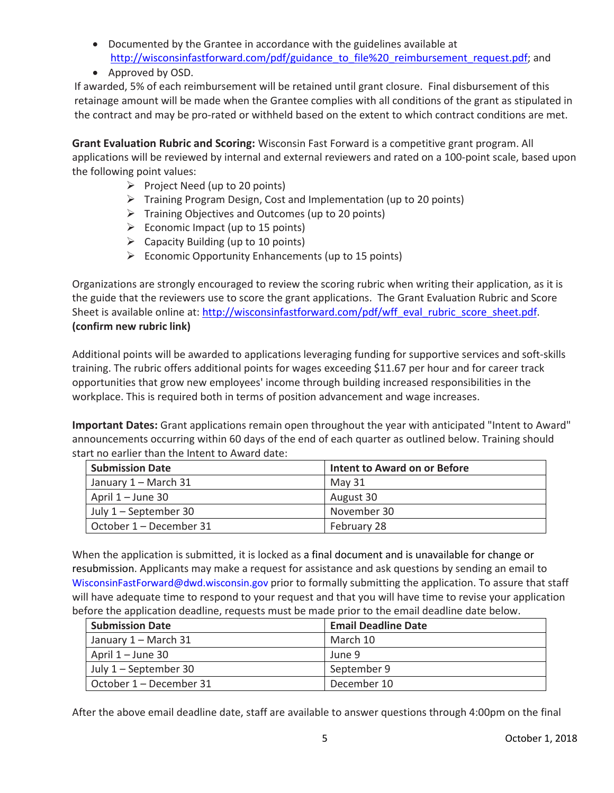- Documented by the Grantee in accordance with the guidelines available at [http://wisconsinfastforward.com/pdf/guidance\\_to\\_file%20\\_reimbursement\\_request.pdf;](http://wisconsinfastforward.com/pdf/guidance_to_file%20_reimbursement_request.pdf) and
- Approved by OSD.

If awarded, 5% of each reimbursement will be retained until grant closure. Final disbursement of this retainage amount will be made when the Grantee complies with all conditions of the grant as stipulated in the contract and may be pro-rated or withheld based on the extent to which contract conditions are met.

**Grant Evaluation Rubric and Scoring:** Wisconsin Fast Forward is a competitive grant program. All applications will be reviewed by internal and external reviewers and rated on a 100-point scale, based upon the following point values:

- $\triangleright$  Project Need (up to 20 points)
- $\triangleright$  Training Program Design, Cost and Implementation (up to 20 points)
- $\triangleright$  Training Objectives and Outcomes (up to 20 points)
- $\triangleright$  Economic Impact (up to 15 points)
- $\triangleright$  Capacity Building (up to 10 points)
- $\triangleright$  Economic Opportunity Enhancements (up to 15 points)

Organizations are strongly encouraged to review the scoring rubric when writing their application, as it is the guide that the reviewers use to score the grant applications. The Grant Evaluation Rubric and Score Sheet is available online at: [http://wisconsinfastforward.com/pdf/wff\\_eval\\_rubric\\_score\\_sheet.pdf.](http://wisconsinfastforward.com/pdf/wff_eval_rubric_score_sheet.pdf) **(confirm new rubric link)**

Additional points will be awarded to applications leveraging funding for supportive services and soft-skills training. The rubric offers additional points for wages exceeding \$11.67 per hour and for career track opportunities that grow new employees' income through building increased responsibilities in the workplace. This is required both in terms of position advancement and wage increases.

**Important Dates:** Grant applications remain open throughout the year with anticipated "Intent to Award" announcements occurring within 60 days of the end of each quarter as outlined below. Training should start no earlier than the Intent to Award date:

| <b>Submission Date</b>  | Intent to Award on or Before |
|-------------------------|------------------------------|
| January 1 – March 31    | May 31                       |
| April $1 -$ June 30     | August 30                    |
| July $1$ – September 30 | November 30                  |
| October 1 – December 31 | February 28                  |

When the application is submitted, it is locked as a final document and is unavailable for change or resubmission. Applicants may make a request for assistance and ask questions by sending an email to WisconsinFastForward@dwd.wisconsin.gov prior to formally submitting the application. To assure that staff will have adequate time to respond to your request and that you will have time to revise your application before the application deadline, requests must be made prior to the email deadline date below.

| <b>Submission Date</b>  | <b>Email Deadline Date</b> |
|-------------------------|----------------------------|
| January 1 – March 31    | March 10                   |
| April $1 -$ June 30     | June 9                     |
| July 1 – September 30   | September 9                |
| October 1 - December 31 | December 10                |

After the above email deadline date, staff are available to answer questions through 4:00pm on the final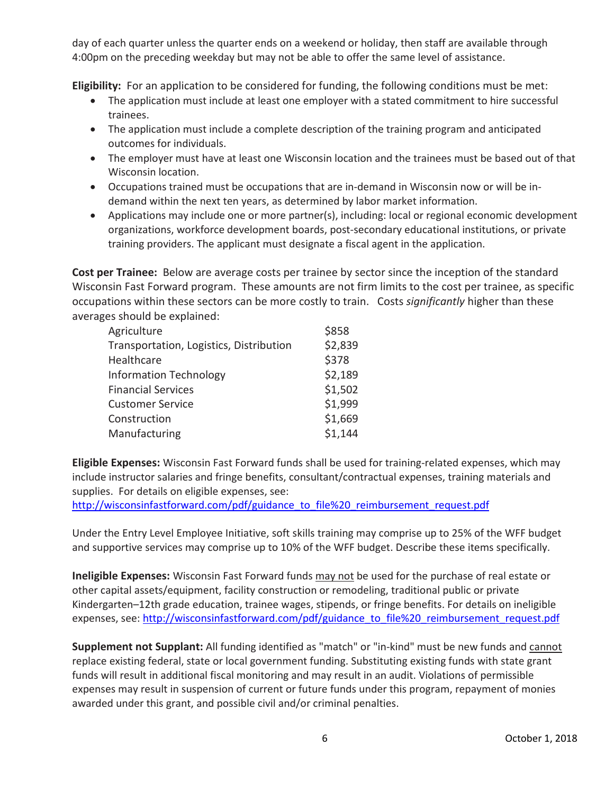day of each quarter unless the quarter ends on a weekend or holiday, then staff are available through 4:00pm on the preceding weekday but may not be able to offer the same level of assistance.

**Eligibility:** For an application to be considered for funding, the following conditions must be met:

- The application must include at least one employer with a stated commitment to hire successful trainees.
- The application must include a complete description of the training program and anticipated outcomes for individuals.
- The employer must have at least one Wisconsin location and the trainees must be based out of that Wisconsin location.
- Occupations trained must be occupations that are in-demand in Wisconsin now or will be indemand within the next ten years, as determined by labor market information.
- Applications may include one or more partner(s), including: local or regional economic development organizations, workforce development boards, post-secondary educational institutions, or private training providers. The applicant must designate a fiscal agent in the application.

**Cost per Trainee:** Below are average costs per trainee by sector since the inception of the standard Wisconsin Fast Forward program. These amounts are not firm limits to the cost per trainee, as specific occupations within these sectors can be more costly to train. Costs *significantly* higher than these averages should be explained:

| Agriculture                             | \$858   |
|-----------------------------------------|---------|
| Transportation, Logistics, Distribution | \$2,839 |
| Healthcare                              | \$378   |
| <b>Information Technology</b>           | \$2,189 |
| <b>Financial Services</b>               | \$1,502 |
| <b>Customer Service</b>                 | \$1,999 |
| Construction                            | \$1,669 |
| Manufacturing                           | \$1,144 |

**Eligible Expenses:** Wisconsin Fast Forward funds shall be used for training-related expenses, which may include instructor salaries and fringe benefits, consultant/contractual expenses, training materials and supplies. For details on eligible expenses, see:

[http://wisconsinfastforward.com/pdf/guidance\\_to\\_file%20\\_reimbursement\\_request.pdf](http://wisconsinfastforward.com/pdf/guidance_to_file%20_reimbursement_request.pdf)

Under the Entry Level Employee Initiative, soft skills training may comprise up to 25% of the WFF budget and supportive services may comprise up to 10% of the WFF budget. Describe these items specifically.

**Ineligible Expenses:** Wisconsin Fast Forward funds may not be used for the purchase of real estate or other capital assets/equipment, facility construction or remodeling, traditional public or private Kindergarten–12th grade education, trainee wages, stipends, or fringe benefits. For details on ineligible expenses, see: [http://wisconsinfastforward.com/pdf/guidance\\_to\\_file%20\\_reimbursement\\_request.pdf](http://wisconsinfastforward.com/pdf/guidance_to_file%20_reimbursement_request.pdf)

**Supplement not Supplant:** All funding identified as "match" or "in-kind" must be new funds and cannot replace existing federal, state or local government funding. Substituting existing funds with state grant funds will result in additional fiscal monitoring and may result in an audit. Violations of permissible expenses may result in suspension of current or future funds under this program, repayment of monies awarded under this grant, and possible civil and/or criminal penalties.